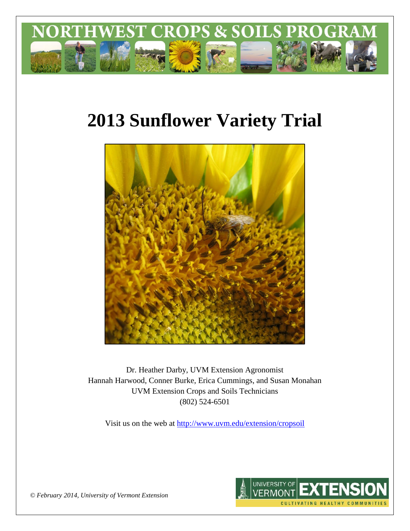

# **2013 Sunflower Variety Trial**



Dr. Heather Darby, UVM Extension Agronomist Hannah Harwood, Conner Burke, Erica Cummings, and Susan Monahan UVM Extension Crops and Soils Technicians (802) 524-6501

Visit us on the web at <http://www.uvm.edu/extension/cropsoil>



*© February 2014, University of Vermont Extension*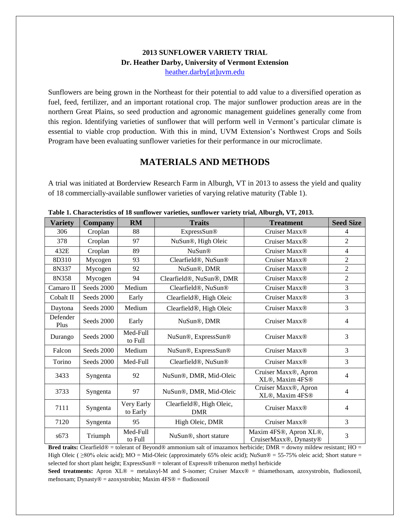#### **2013 SUNFLOWER VARIETY TRIAL Dr. Heather Darby, University of Vermont Extension** [heather.darby\[at\]uvm.edu](mailto:heather.darby@uvm.edu?subject=2013%20Sunflower%20Reduced%20Tillage%20Trial)

Sunflowers are being grown in the Northeast for their potential to add value to a diversified operation as fuel, feed, fertilizer, and an important rotational crop. The major sunflower production areas are in the northern Great Plains, so seed production and agronomic management guidelines generally come from this region. Identifying varieties of sunflower that will perform well in Vermont's particular climate is essential to viable crop production. With this in mind, UVM Extension's Northwest Crops and Soils Program have been evaluating sunflower varieties for their performance in our microclimate.

## **MATERIALS AND METHODS**

A trial was initiated at Borderview Research Farm in Alburgh, VT in 2013 to assess the yield and quality of 18 commercially-available sunflower varieties of varying relative maturity (Table 1).

| Characteristics of to sumfoller varieties, sumfoller variety trial, mourgin, v 1, 2010; |                |                        |                                                     |                                                  |                  |  |  |
|-----------------------------------------------------------------------------------------|----------------|------------------------|-----------------------------------------------------|--------------------------------------------------|------------------|--|--|
| <b>Variety</b>                                                                          | <b>Company</b> | RM                     | <b>Traits</b>                                       | <b>Treatment</b>                                 | <b>Seed Size</b> |  |  |
| 306                                                                                     | Croplan        | 88                     | ExpressSun®                                         | Cruiser Maxx®                                    | 4                |  |  |
| 378                                                                                     | Croplan        | 97                     | NuSun®, High Oleic                                  | Cruiser Maxx <sup>®</sup>                        | $\overline{2}$   |  |  |
| 432E                                                                                    | Croplan        | 89                     | <b>NuSun®</b>                                       | Cruiser Maxx <sup>®</sup>                        | $\overline{4}$   |  |  |
| 8D310                                                                                   | Mycogen        | 93                     | Clearfield <sup>®</sup> , NuSun <sup>®</sup>        | Cruiser Maxx <sup>®</sup>                        | $\overline{2}$   |  |  |
| 8N337                                                                                   | Mycogen        | 92                     | NuSun®, DMR                                         | Cruiser Maxx <sup>®</sup>                        | $\overline{2}$   |  |  |
| 8N358                                                                                   | Mycogen        | 94                     | Clearfield <sup>®</sup> , NuSun <sup>®</sup> , DMR  | Cruiser Maxx <sup>®</sup>                        | $\overline{2}$   |  |  |
| Camaro II                                                                               | Seeds 2000     | Medium                 | Clearfield <sup>®</sup> , NuSun <sup>®</sup>        | Cruiser Maxx <sup>®</sup>                        | 3                |  |  |
| Cobalt II                                                                               | Seeds 2000     | Early                  | Clearfield <sup>®</sup> , High Oleic                | Cruiser Maxx <sup>®</sup>                        | 3                |  |  |
| Daytona                                                                                 | Seeds 2000     | Medium                 | Clearfield <sup>®</sup> , High Oleic                | Cruiser Maxx <sup>®</sup>                        | 3                |  |  |
| Defender<br>Plus                                                                        | Seeds 2000     | Early                  | NuSun®, DMR                                         | Cruiser Maxx <sup>®</sup>                        | $\overline{4}$   |  |  |
| Durango                                                                                 | Seeds 2000     | Med-Full<br>to Full    | NuSun®, ExpressSun®                                 | Cruiser Maxx®                                    | 3                |  |  |
| Falcon                                                                                  | Seeds 2000     | Medium                 | NuSun®, ExpressSun®                                 | Cruiser Maxx <sup>®</sup>                        | 3                |  |  |
| Torino                                                                                  | Seeds 2000     | Med-Full               | Clearfield <sup>®</sup> , NuSun <sup>®</sup>        | Cruiser Maxx®                                    | 3                |  |  |
| 3433                                                                                    | Syngenta       | 92                     | NuSun®, DMR, Mid-Oleic                              | Cruiser Maxx®, Apron<br>XL®, Maxim 4FS®          | $\overline{4}$   |  |  |
| 3733                                                                                    | Syngenta       | 97                     | NuSun®, DMR, Mid-Oleic                              | Cruiser Maxx®, Apron<br>XL®, Maxim 4FS®          | $\overline{4}$   |  |  |
| 7111                                                                                    | Syngenta       | Very Early<br>to Early | Clearfield <sup>®</sup> , High Oleic,<br><b>DMR</b> | Cruiser Maxx <sup>®</sup>                        | $\overline{4}$   |  |  |
| 7120                                                                                    | Syngenta       | 95                     | High Oleic, DMR                                     | Cruiser Maxx <sup>®</sup>                        | 3                |  |  |
| s673                                                                                    | Triumph        | Med-Full<br>to Full    | NuSun®, short stature                               | Maxim 4FS®, Apron XL®,<br>CruiserMaxx®, Dynasty® | 3                |  |  |

**Table 1. Characteristics of 18 sunflower varieties, sunflower variety trial, Alburgh, VT, 2013.**

**Bred traits:** Clearfield® = tolerant of Beyond® ammonium salt of imazamox herbicide; DMR = downy mildew resistant; HO = High Oleic (  $\geq$ 80% oleic acid); MO = Mid-Oleic (approximately 65% oleic acid); NuSun® = 55-75% oleic acid; Short stature = selected for short plant height; ExpressSun® = tolerant of Express® tribenuron methyl herbicide

Seed treatments: Apron XL® = metalaxyl-M and S-isomer; Cruiser Maxx® = thiamethoxam, azoxystrobin, fludioxonil, mefnoxam; Dynasty® = azoxystrobin; Maxim 4FS® = fludioxonil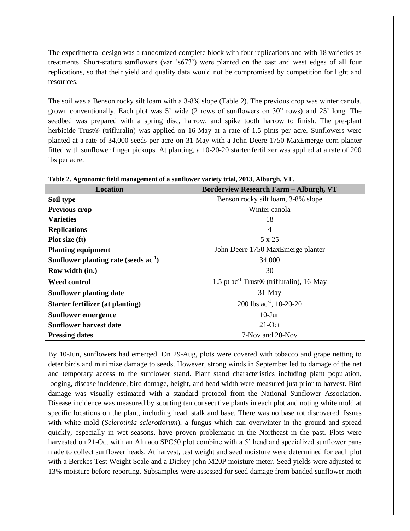The experimental design was a randomized complete block with four replications and with 18 varieties as treatments. Short-stature sunflowers (var 's673') were planted on the east and west edges of all four replications, so that their yield and quality data would not be compromised by competition for light and resources.

The soil was a Benson rocky silt loam with a 3-8% slope (Table 2). The previous crop was winter canola, grown conventionally. Each plot was 5' wide (2 rows of sunflowers on 30" rows) and 25' long. The seedbed was prepared with a spring disc, harrow, and spike tooth harrow to finish. The pre-plant herbicide Trust<sup>®</sup> (trifluralin) was applied on 16-May at a rate of 1.5 pints per acre. Sunflowers were planted at a rate of 34,000 seeds per acre on 31-May with a John Deere 1750 MaxEmerge corn planter fitted with sunflower finger pickups. At planting, a 10-20-20 starter fertilizer was applied at a rate of 200 lbs per acre.

| <b>Location</b>                         | <b>Borderview Research Farm - Alburgh, VT</b>             |
|-----------------------------------------|-----------------------------------------------------------|
| Soil type                               | Benson rocky silt loam, 3-8% slope                        |
| <b>Previous crop</b>                    | Winter canola                                             |
| <b>Varieties</b>                        | 18                                                        |
| <b>Replications</b>                     | $\overline{4}$                                            |
| Plot size (ft)                          | 5 x 25                                                    |
| <b>Planting equipment</b>               | John Deere 1750 MaxEmerge planter                         |
| Sunflower planting rate (seeds $ac-1$ ) | 34,000                                                    |
| Row width (in.)                         | 30                                                        |
| <b>Weed control</b>                     | 1.5 pt $ac^{-1}$ Trust <sup>®</sup> (trifluralin), 16-May |
| <b>Sunflower planting date</b>          | $31$ -May                                                 |
| Starter fertilizer (at planting)        | 200 lbs $ac^{-1}$ , 10-20-20                              |
| <b>Sunflower emergence</b>              | $10$ -Jun                                                 |
| <b>Sunflower harvest date</b>           | $21-Oct$                                                  |
| <b>Pressing dates</b>                   | 7-Nov and 20-Nov                                          |

**Table 2. Agronomic field management of a sunflower variety trial, 2013, Alburgh, VT.**

By 10-Jun, sunflowers had emerged. On 29-Aug, plots were covered with tobacco and grape netting to deter birds and minimize damage to seeds. However, strong winds in September led to damage of the net and temporary access to the sunflower stand. Plant stand characteristics including plant population, lodging, disease incidence, bird damage, height, and head width were measured just prior to harvest. Bird damage was visually estimated with a standard protocol from the National Sunflower Association. Disease incidence was measured by scouting ten consecutive plants in each plot and noting white mold at specific locations on the plant, including head, stalk and base. There was no base rot discovered. Issues with white mold (*Sclerotinia sclerotiorum*), a fungus which can overwinter in the ground and spread quickly, especially in wet seasons, have proven problematic in the Northeast in the past. Plots were harvested on 21-Oct with an Almaco SPC50 plot combine with a 5' head and specialized sunflower pans made to collect sunflower heads. At harvest, test weight and seed moisture were determined for each plot with a Berckes Test Weight Scale and a Dickey-john M20P moisture meter. Seed yields were adjusted to 13% moisture before reporting. Subsamples were assessed for seed damage from banded sunflower moth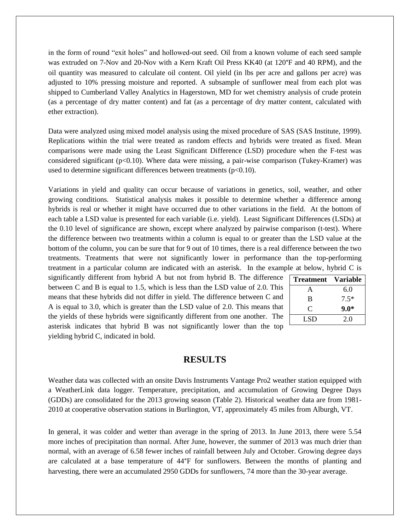in the form of round "exit holes" and hollowed-out seed. Oil from a known volume of each seed sample was extruded on 7-Nov and 20-Nov with a Kern Kraft Oil Press KK40 (at 120°F and 40 RPM), and the oil quantity was measured to calculate oil content. Oil yield (in lbs per acre and gallons per acre) was adjusted to 10% pressing moisture and reported. A subsample of sunflower meal from each plot was shipped to Cumberland Valley Analytics in Hagerstown, MD for wet chemistry analysis of crude protein (as a percentage of dry matter content) and fat (as a percentage of dry matter content, calculated with ether extraction).

Data were analyzed using mixed model analysis using the mixed procedure of SAS (SAS Institute, 1999). Replications within the trial were treated as random effects and hybrids were treated as fixed. Mean comparisons were made using the Least Significant Difference (LSD) procedure when the F-test was considered significant ( $p<0.10$ ). Where data were missing, a pair-wise comparison (Tukey-Kramer) was used to determine significant differences between treatments  $(p<0.10)$ .

Variations in yield and quality can occur because of variations in genetics, soil, weather, and other growing conditions. Statistical analysis makes it possible to determine whether a difference among hybrids is real or whether it might have occurred due to other variations in the field. At the bottom of each table a LSD value is presented for each variable (i.e. yield). Least Significant Differences (LSDs) at the 0.10 level of significance are shown, except where analyzed by pairwise comparison (t-test). Where the difference between two treatments within a column is equal to or greater than the LSD value at the bottom of the column, you can be sure that for 9 out of 10 times, there is a real difference between the two treatments. Treatments that were not significantly lower in performance than the top-performing treatment in a particular column are indicated with an asterisk. In the example at below, hybrid C is

significantly different from hybrid A but not from hybrid B. The difference between C and B is equal to 1.5, which is less than the LSD value of 2.0. This means that these hybrids did not differ in yield. The difference between C and A is equal to 3.0, which is greater than the LSD value of 2.0. This means that the yields of these hybrids were significantly different from one another. The asterisk indicates that hybrid B was not significantly lower than the top yielding hybrid C, indicated in bold.

| <b>Treatment</b> | <b>Variable</b> |
|------------------|-----------------|
| A                | 6.0             |
| B                | $7.5*$          |
| C                | $9.0*$          |
| LSD              | 2.0             |

## **RESULTS**

Weather data was collected with an onsite Davis Instruments Vantage Pro2 weather station equipped with a WeatherLink data logger. Temperature, precipitation, and accumulation of Growing Degree Days (GDDs) are consolidated for the 2013 growing season (Table 2). Historical weather data are from 1981- 2010 at cooperative observation stations in Burlington, VT, approximately 45 miles from Alburgh, VT.

In general, it was colder and wetter than average in the spring of 2013. In June 2013, there were 5.54 more inches of precipitation than normal. After June, however, the summer of 2013 was much drier than normal, with an average of 6.58 fewer inches of rainfall between July and October. Growing degree days are calculated at a base temperature of 44°F for sunflowers. Between the months of planting and harvesting, there were an accumulated 2950 GDDs for sunflowers, 74 more than the 30-year average.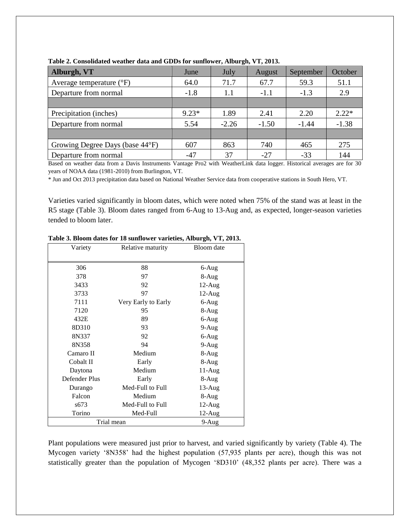| Alburgh, VT                       | June    | July    | August  | September | October |
|-----------------------------------|---------|---------|---------|-----------|---------|
| Average temperature $(^{\circ}F)$ | 64.0    | 71.7    | 67.7    | 59.3      | 51.1    |
| Departure from normal             | $-1.8$  | 1.1     | $-1.1$  | $-1.3$    | 2.9     |
|                                   |         |         |         |           |         |
| Precipitation (inches)            | $9.23*$ | 1.89    | 2.41    | 2.20      | $2.22*$ |
| Departure from normal             | 5.54    | $-2.26$ | $-1.50$ | $-1.44$   | $-1.38$ |
|                                   |         |         |         |           |         |
| Growing Degree Days (base 44°F)   | 607     | 863     | 740     | 465       | 275     |
| Departure from normal             | $-47$   | 37      | $-27$   | $-33$     | 144     |

**Table 2. Consolidated weather data and GDDs for sunflower, Alburgh, VT, 2013.**

Based on weather data from a Davis Instruments Vantage Pro2 with WeatherLink data logger. Historical averages are for 30 years of NOAA data (1981-2010) from Burlington, VT.

\* Jun and Oct 2013 precipitation data based on National Weather Service data from cooperative stations in South Hero, VT.

Varieties varied significantly in bloom dates, which were noted when 75% of the stand was at least in the R5 stage (Table 3). Bloom dates ranged from 6-Aug to 13-Aug and, as expected, longer-season varieties tended to bloom later.

| Variety       | Relative maturity   | Bloom date |  |
|---------------|---------------------|------------|--|
|               |                     |            |  |
| 306           | 88                  | 6-Aug      |  |
| 378           | 97                  | 8-Aug      |  |
| 3433          | 92                  | $12$ -Aug  |  |
| 3733          | 97                  | $12$ -Aug  |  |
| 7111          | Very Early to Early | 6-Aug      |  |
| 7120          | 95                  | 8-Aug      |  |
| 432E          | 89                  | 6-Aug      |  |
| 8D310         | 93                  | $9-Aug$    |  |
| 8N337         | 92                  | 6-Aug      |  |
| 8N358         | 94                  | $9-Aug$    |  |
| Camaro II     | Medium              | 8-Aug      |  |
| Cobalt II     | Early               | 8-Aug      |  |
| Daytona       | Medium              | 11-Aug     |  |
| Defender Plus | Early               | 8-Aug      |  |
| Durango       | Med-Full to Full    | $13$ -Aug  |  |
| Falcon        | Medium              | 8-Aug      |  |
| s673          | Med-Full to Full    | $12$ -Aug  |  |
| Torino        | Med-Full            | 12-Aug     |  |
| Trial mean    | $9-Aug$             |            |  |

**Table 3. Bloom dates for 18 sunflower varieties, Alburgh, VT, 2013.**

Plant populations were measured just prior to harvest, and varied significantly by variety (Table 4). The Mycogen variety '8N358' had the highest population (57,935 plants per acre), though this was not statistically greater than the population of Mycogen '8D310' (48,352 plants per acre). There was a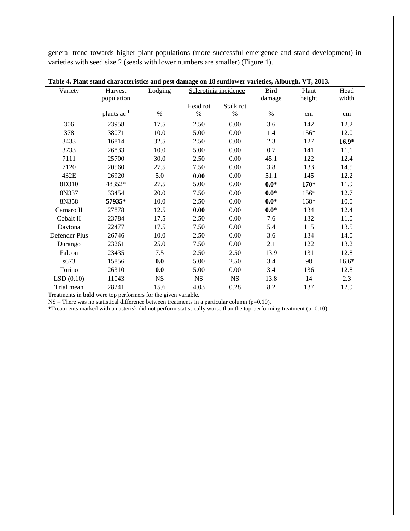general trend towards higher plant populations (more successful emergence and stand development) in varieties with seed size 2 (seeds with lower numbers are smaller) (Figure 1).

| Variety       | Harvest                 | Lodging   | Sclerotinia incidence |           | <b>Bird</b> | Plant  | Head    |
|---------------|-------------------------|-----------|-----------------------|-----------|-------------|--------|---------|
|               | population              |           |                       |           | damage      | height | width   |
|               |                         |           | Head rot              | Stalk rot |             |        |         |
|               | plants ac <sup>-1</sup> | $\%$      | %                     | %         | %           | cm     | cm      |
| 306           | 23958                   | 17.5      | 2.50                  | 0.00      | 3.6         | 142    | 12.2    |
| 378           | 38071                   | 10.0      | 5.00                  | 0.00      | 1.4         | 156*   | 12.0    |
| 3433          | 16814                   | 32.5      | 2.50                  | 0.00      | 2.3         | 127    | $16.9*$ |
| 3733          | 26833                   | 10.0      | 5.00                  | 0.00      | 0.7         | 141    | 11.1    |
| 7111          | 25700                   | 30.0      | 2.50                  | 0.00      | 45.1        | 122    | 12.4    |
| 7120          | 20560                   | 27.5      | 7.50                  | 0.00      | 3.8         | 133    | 14.5    |
| 432E          | 26920                   | 5.0       | 0.00                  | 0.00      | 51.1        | 145    | 12.2    |
| 8D310         | 48352*                  | 27.5      | 5.00                  | 0.00      | $0.0*$      | $170*$ | 11.9    |
| 8N337         | 33454                   | 20.0      | 7.50                  | 0.00      | $0.0*$      | 156*   | 12.7    |
| 8N358         | 57935*                  | 10.0      | 2.50                  | 0.00      | $0.0*$      | 168*   | 10.0    |
| Camaro II     | 27878                   | 12.5      | 0.00                  | 0.00      | $0.0*$      | 134    | 12.4    |
| Cobalt II     | 23784                   | 17.5      | 2.50                  | 0.00      | 7.6         | 132    | 11.0    |
| Daytona       | 22477                   | 17.5      | 7.50                  | 0.00      | 5.4         | 115    | 13.5    |
| Defender Plus | 26746                   | 10.0      | 2.50                  | 0.00      | 3.6         | 134    | 14.0    |
| Durango       | 23261                   | 25.0      | 7.50                  | 0.00      | 2.1         | 122    | 13.2    |
| Falcon        | 23435                   | 7.5       | 2.50                  | 2.50      | 13.9        | 131    | 12.8    |
| s673          | 15856                   | 0.0       | 5.00                  | 2.50      | 3.4         | 98     | $16.6*$ |
| Torino        | 26310                   | 0.0       | 5.00                  | 0.00      | 3.4         | 136    | 12.8    |
| LSD(0.10)     | 11043                   | <b>NS</b> | <b>NS</b>             | <b>NS</b> | 13.8        | 14     | 2.3     |
| Trial mean    | 28241                   | 15.6      | 4.03                  | 0.28      | 8.2         | 137    | 12.9    |

Treatments in **bold** were top performers for the given variable.

NS – There was no statistical difference between treatments in a particular column (p=0.10).

\*Treatments marked with an asterisk did not perform statistically worse than the top-performing treatment (p=0.10).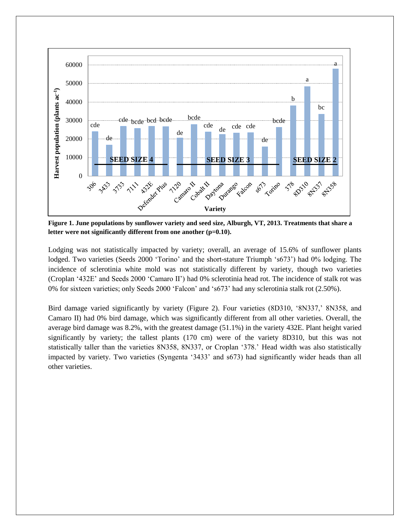

**Figure 1. June populations by sunflower variety and seed size, Alburgh, VT, 2013. Treatments that share a letter were not significantly different from one another (p=0.10).**

Lodging was not statistically impacted by variety; overall, an average of 15.6% of sunflower plants lodged. Two varieties (Seeds 2000 'Torino' and the short-stature Triumph 's673') had 0% lodging. The incidence of sclerotinia white mold was not statistically different by variety, though two varieties (Croplan '432E' and Seeds 2000 'Camaro II') had 0% sclerotinia head rot. The incidence of stalk rot was 0% for sixteen varieties; only Seeds 2000 'Falcon' and 's673' had any sclerotinia stalk rot (2.50%).

Bird damage varied significantly by variety (Figure 2). Four varieties (8D310, '8N337,' 8N358, and Camaro II) had 0% bird damage, which was significantly different from all other varieties. Overall, the average bird damage was 8.2%, with the greatest damage (51.1%) in the variety 432E. Plant height varied significantly by variety; the tallest plants (170 cm) were of the variety 8D310, but this was not statistically taller than the varieties 8N358, 8N337, or Croplan '378.' Head width was also statistically impacted by variety. Two varieties (Syngenta '3433' and s673) had significantly wider heads than all other varieties.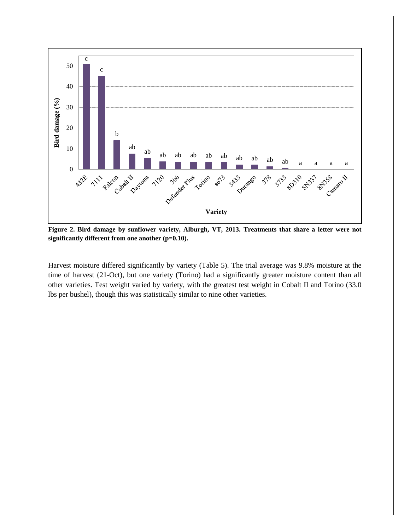

**Figure 2. Bird damage by sunflower variety, Alburgh, VT, 2013. Treatments that share a letter were not significantly different from one another (p=0.10).**

Harvest moisture differed significantly by variety (Table 5). The trial average was 9.8% moisture at the time of harvest (21-Oct), but one variety (Torino) had a significantly greater moisture content than all other varieties. Test weight varied by variety, with the greatest test weight in Cobalt II and Torino (33.0 lbs per bushel), though this was statistically similar to nine other varieties.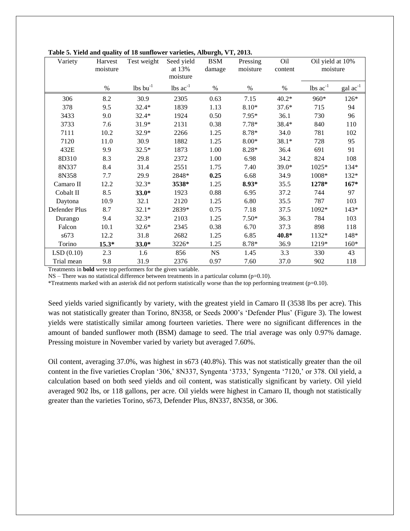| Variety       | Harvest<br>moisture | Test weight      | Seed yield<br>at 13%<br>moisture | <b>BSM</b><br>damage | Pressing<br>moisture | Oil<br>content | Oil yield at 10%<br>moisture  |                   |
|---------------|---------------------|------------------|----------------------------------|----------------------|----------------------|----------------|-------------------------------|-------------------|
|               | $\%$                | $lbs$ bu $^{-1}$ | lbs $ac^{-1}$                    | $\%$                 | $\%$                 | $\%$           | $\text{lbs}$ $\text{ac}^{-1}$ | $\text{gal ac}^1$ |
| 306           | 8.2                 | 30.9             | 2305                             | 0.63                 | 7.15                 | $40.2*$        | 960*                          | 126*              |
| 378           | 9.5                 | $32.4*$          | 1839                             | 1.13                 | $8.10*$              | $37.6*$        | 715                           | 94                |
| 3433          | 9.0                 | $32.4*$          | 1924                             | 0.50                 | 7.95*                | 36.1           | 730                           | 96                |
| 3733          | 7.6                 | 31.9*            | 2131                             | 0.38                 | $7.78*$              | 38.4*          | 840                           | 110               |
| 7111          | 10.2                | 32.9*            | 2266                             | 1.25                 | 8.78*                | 34.0           | 781                           | 102               |
| 7120          | 11.0                | 30.9             | 1882                             | 1.25                 | $8.00*$              | 38.1*          | 728                           | 95                |
| 432E          | 9.9                 | $32.5*$          | 1873                             | 1.00                 | $8.28*$              | 36.4           | 691                           | 91                |
| 8D310         | 8.3                 | 29.8             | 2372                             | 1.00                 | 6.98                 | 34.2           | 824                           | 108               |
| 8N337         | 8.4                 | 31.4             | 2551                             | 1.75                 | 7.40                 | 39.0*          | 1025*                         | 134*              |
| 8N358         | 7.7                 | 29.9             | 2848*                            | 0.25                 | 6.68                 | 34.9           | 1008*                         | 132*              |
| Camaro II     | 12.2                | $32.3*$          | 3538*                            | 1.25                 | $8.93*$              | 35.5           | 1278*                         | $167*$            |
| Cobalt II     | 8.5                 | $33.0*$          | 1923                             | 0.88                 | 6.95                 | 37.2           | 744                           | 97                |
| Daytona       | 10.9                | 32.1             | 2120                             | 1.25                 | 6.80                 | 35.5           | 787                           | 103               |
| Defender Plus | 8.7                 | $32.1*$          | 2839*                            | 0.75                 | 7.18                 | 37.5           | 1092*                         | $143*$            |
| Durango       | 9.4                 | $32.3*$          | 2103                             | 1.25                 | $7.50*$              | 36.3           | 784                           | 103               |
| Falcon        | 10.1                | $32.6*$          | 2345                             | 0.38                 | 6.70                 | 37.3           | 898                           | 118               |
| s673          | 12.2                | 31.8             | 2682                             | 1.25                 | 6.85                 | 40.8*          | 1132*                         | 148*              |
| Torino        | $15.3*$             | $33.0*$          | 3226*                            | 1.25                 | 8.78*                | 36.9           | 1219*                         | $160*$            |
| LSD(0.10)     | 2.3                 | 1.6              | 856                              | <b>NS</b>            | 1.45                 | 3.3            | 330                           | 43                |
| Trial mean    | 9.8                 | 31.9             | 2376                             | 0.97                 | 7.60                 | 37.0           | 902                           | 118               |

**Table 5. Yield and quality of 18 sunflower varieties, Alburgh, VT, 2013.**

Treatments in **bold** were top performers for the given variable.

 $NS$  – There was no statistical difference between treatments in a particular column ( $p=0.10$ ).

\*Treatments marked with an asterisk did not perform statistically worse than the top performing treatment (p=0.10).

Seed yields varied significantly by variety, with the greatest yield in Camaro II (3538 lbs per acre). This was not statistically greater than Torino, 8N358, or Seeds 2000's 'Defender Plus' (Figure 3). The lowest yields were statistically similar among fourteen varieties. There were no significant differences in the amount of banded sunflower moth (BSM) damage to seed. The trial average was only 0.97% damage. Pressing moisture in November varied by variety but averaged 7.60%.

Oil content, averaging 37.0%, was highest in s673 (40.8%). This was not statistically greater than the oil content in the five varieties Croplan '306,' 8N337, Syngenta '3733,' Syngenta '7120,' or 378. Oil yield, a calculation based on both seed yields and oil content, was statistically significant by variety. Oil yield averaged 902 lbs, or 118 gallons, per acre. Oil yields were highest in Camaro II, though not statistically greater than the varieties Torino, s673, Defender Plus, 8N337, 8N358, or 306.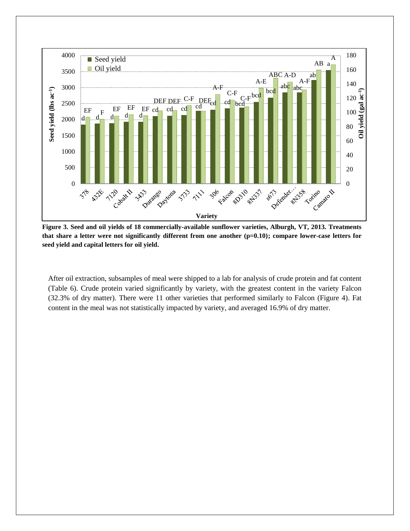

**Figure 3. Seed and oil yields of 18 commercially-available sunflower varieties, Alburgh, VT, 2013. Treatments that share a letter were not significantly different from one another (p=0.10); compare lower-case letters for seed yield and capital letters for oil yield.**

After oil extraction, subsamples of meal were shipped to a lab for analysis of crude protein and fat content (Table 6). Crude protein varied significantly by variety, with the greatest content in the variety Falcon (32.3% of dry matter). There were 11 other varieties that performed similarly to Falcon (Figure 4). Fat content in the meal was not statistically impacted by variety, and averaged 16.9% of dry matter.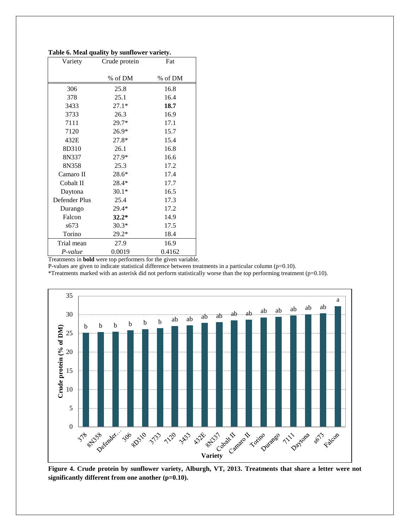| Variety       | Crude protein | Fat     |  |
|---------------|---------------|---------|--|
|               | % of DM       | % of DM |  |
| 306           | 25.8          | 16.8    |  |
| 378           | 25.1          | 16.4    |  |
| 3433          | $27.1*$       | 18.7    |  |
| 3733          | 26.3          | 16.9    |  |
| 7111          | 29.7*         | 17.1    |  |
| 7120          | $26.9*$       | 15.7    |  |
| 432E          | 27.8*         | 15.4    |  |
| 8D310         | 26.1          | 16.8    |  |
| 8N337         | 27.9*         | 16.6    |  |
| 8N358         | 25.3          | 17.2    |  |
| Camaro II     | $28.6*$       | 17.4    |  |
| Cobalt II     | $28.4*$       | 17.7    |  |
| Daytona       | $30.1*$       | 16.5    |  |
| Defender Plus | 25.4          | 17.3    |  |
| Durango       | 29.4*         | 17.2    |  |
| Falcon        | $32.2*$       | 14.9    |  |
| s673          | $30.3*$       | 17.5    |  |
| Torino        | $29.2*$       | 18.4    |  |
| Trial mean    | 27.9          | 16.9    |  |
| P-value       | 0.0019        | 0.4162  |  |

**Table 6. Meal quality by sunflower variety.**

Treatments in **bold** were top performers for the given variable.

P-values are given to indicate statistical difference between treatments in a particular column (p=0.10).

\*Treatments marked with an asterisk did not perform statistically worse than the top performing treatment (p=0.10).



**Figure 4. Crude protein by sunflower variety, Alburgh, VT, 2013. Treatments that share a letter were not significantly different from one another (p=0.10).**